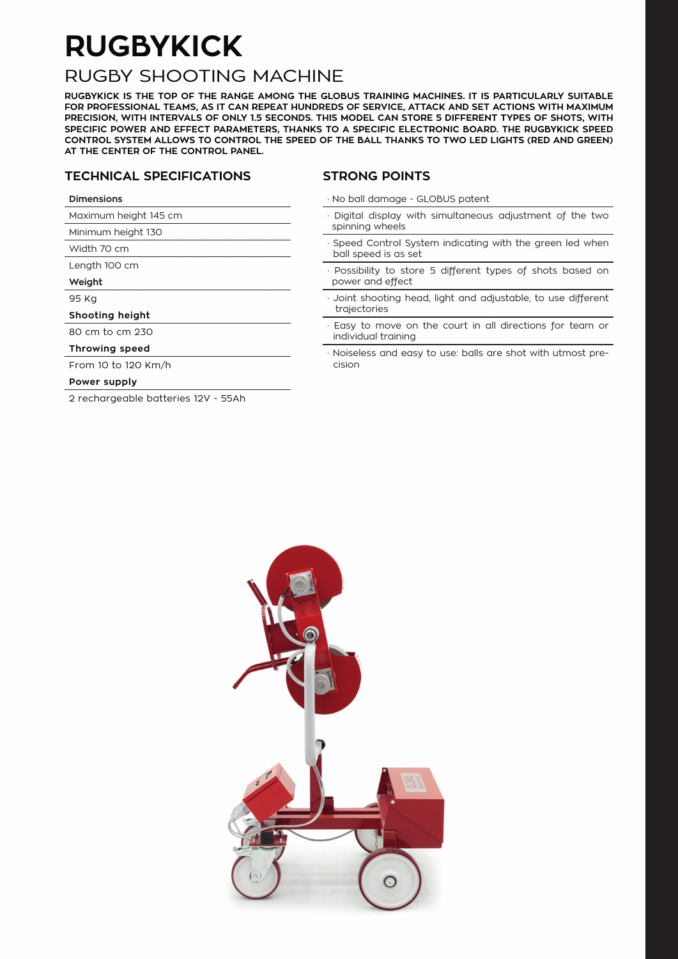## **RUGBYKICK**

### RUGBY SHOOTING MACHINE

**RUGBYKICK IS THE TOP OF THE RANGE AMONG THE GLOBUS TRAINING MACHINES. IT IS PARTICULARLY SUITABLE FOR PROFESSIONAL TEAMS, AS IT CAN REPEAT HUNDREDS OF SERVICE, ATTACK AND SET ACTIONS WITH MAXIMUM PRECISION, WITH INTERVALS OF ONLY 1.5 SECONDS. THIS MODEL CAN STORE 5 DIFFERENT TYPES OF SHOTS, WITH SPECIFIC POWER AND EFFECT PARAMETERS, THANKS TO A SPECIFIC ELECTRONIC BOARD. THE RUGBYKICK SPEED CONTROL SYSTEM ALLOWS TO CONTROL THE SPEED OF THE BALL THANKS TO TWO LED LIGHTS (RED AND GREEN) AT THE CENTER OF THE CONTROL PANEL.**

#### **TECHNICAL SPECIFICATIONS**

#### **STRONG POINTS**

| <b>Dimensions</b> |
|-------------------|
|                   |

Width 70 cm Length 100 cm

**Weight** 95 Kg

Maximum height 145 cm Minimum height 130

· No ball damage - GLOBUS patent

- · Digital display with simultaneous adjustment of the two spinning wheels
- Speed Control System indicating with the green led when ball speed is as set
- Possibility to store 5 different types of shots based on power and effect
- Joint shooting head, light and adjustable, to use different trajectories
- Easy to move on the court in all directions for team or individual training
- · Noiseless and easy to use: balls are shot with utmost precision

#### From 10 to 120 Km/h **Power supply**

**Shooting height** 80 cm to cm 230 **Throwing speed**

2 rechargeable batteries 12V - 55Ah